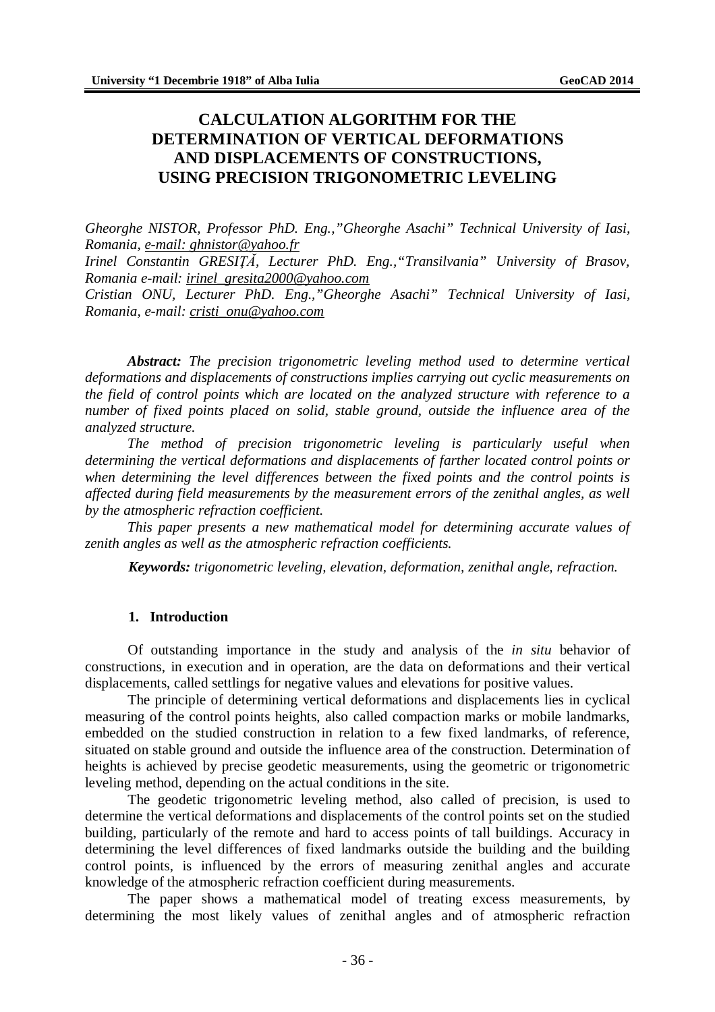# **CALCULATION ALGORITHM FOR THE DETERMINATION OF VERTICAL DEFORMATIONS AND DISPLACEMENTS OF CONSTRUCTIONS, USING PRECISION TRIGONOMETRIC LEVELING**

*Gheorghe NISTOR, Professor PhD. Eng.,"Gheorghe Asachi" Technical University of Iasi, Romania, e-mail: [ghnistor@yahoo.fr](mailto:ghnistor@yahoo.fr)*

*Irinel Constantin GRESIŢĂ, Lecturer PhD. Eng.,"Transilvania" University of Brasov, Romania e-mail: [irinel\\_gresita2000@yahoo.com](mailto:irinel_gresita2000@yahoo.com)*

*Cristian ONU, Lecturer PhD. Eng.,"Gheorghe Asachi" Technical University of Iasi, Romania, e-mail: [cristi\\_onu@yahoo.com](mailto:cristi_onu@yahoo.com)*

*Abstract: The precision trigonometric leveling method used to determine vertical deformations and displacements of constructions implies carrying out cyclic measurements on the field of control points which are located on the analyzed structure with reference to a number of fixed points placed on solid, stable ground, outside the influence area of the analyzed structure.*

*The method of precision trigonometric leveling is particularly useful when determining the vertical deformations and displacements of farther located control points or when determining the level differences between the fixed points and the control points is affected during field measurements by the measurement errors of the zenithal angles, as well by the atmospheric refraction coefficient.*

*This paper presents a new mathematical model for determining accurate values of zenith angles as well as the atmospheric refraction coefficients.*

*Keywords: trigonometric leveling, elevation, deformation, zenithal angle, refraction.*

#### **1. Introduction**

Of outstanding importance in the study and analysis of the *in situ* behavior of constructions, in execution and in operation, are the data on deformations and their vertical displacements, called settlings for negative values and elevations for positive values.

The principle of determining vertical deformations and displacements lies in cyclical measuring of the control points heights, also called compaction marks or mobile landmarks, embedded on the studied construction in relation to a few fixed landmarks, of reference, situated on stable ground and outside the influence area of the construction. Determination of heights is achieved by precise geodetic measurements, using the geometric or trigonometric leveling method, depending on the actual conditions in the site.

The geodetic trigonometric leveling method, also called of precision, is used to determine the vertical deformations and displacements of the control points set on the studied building, particularly of the remote and hard to access points of tall buildings. Accuracy in determining the level differences of fixed landmarks outside the building and the building control points, is influenced by the errors of measuring zenithal angles and accurate knowledge of the atmospheric refraction coefficient during measurements.

The paper shows a mathematical model of treating excess measurements, by determining the most likely values of zenithal angles and of atmospheric refraction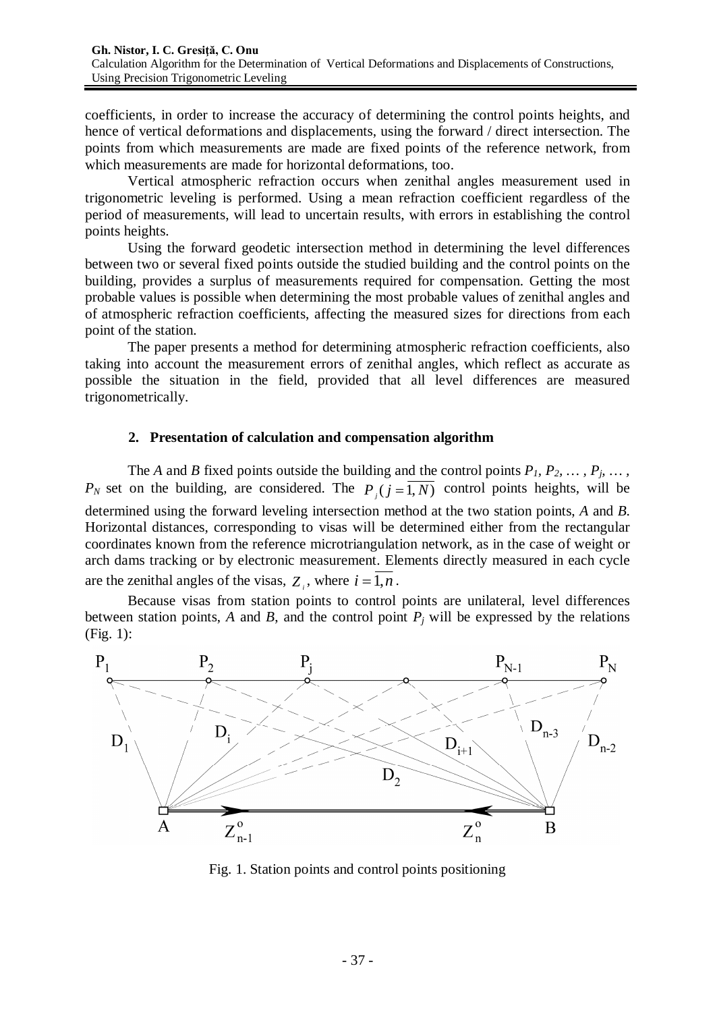coefficients, in order to increase the accuracy of determining the control points heights, and hence of vertical deformations and displacements, using the forward / direct intersection. The points from which measurements are made are fixed points of the reference network, from which measurements are made for horizontal deformations, too.

Vertical atmospheric refraction occurs when zenithal angles measurement used in trigonometric leveling is performed. Using a mean refraction coefficient regardless of the period of measurements, will lead to uncertain results, with errors in establishing the control points heights.

Using the forward geodetic intersection method in determining the level differences between two or several fixed points outside the studied building and the control points on the building, provides a surplus of measurements required for compensation. Getting the most probable values is possible when determining the most probable values of zenithal angles and of atmospheric refraction coefficients, affecting the measured sizes for directions from each point of the station.

The paper presents a method for determining atmospheric refraction coefficients, also taking into account the measurement errors of zenithal angles, which reflect as accurate as possible the situation in the field, provided that all level differences are measured trigonometrically.

### **2. Presentation of calculation and compensation algorithm**

The *A* and *B* fixed points outside the building and the control points  $P_1$ ,  $P_2$ ,  $\dots$ ,  $P_j$ ,  $\dots$ ,  $P_N$  set on the building, are considered. The  $P_j$  ( $j = 1, N$ ) control points heights, will be determined using the forward leveling intersection method at the two station points, *A* and *B.* Horizontal distances, corresponding to visas will be determined either from the rectangular coordinates known from the reference microtriangulation network, as in the case of weight or arch dams tracking or by electronic measurement. Elements directly measured in each cycle are the zenithal angles of the visas,  $Z_i$ , where  $i = 1, n$ .

Because visas from station points to control points are unilateral, level differences between station points,  $A$  and  $B$ , and the control point  $P_i$  will be expressed by the relations (Fig. 1):



Fig. 1. Station points and control points positioning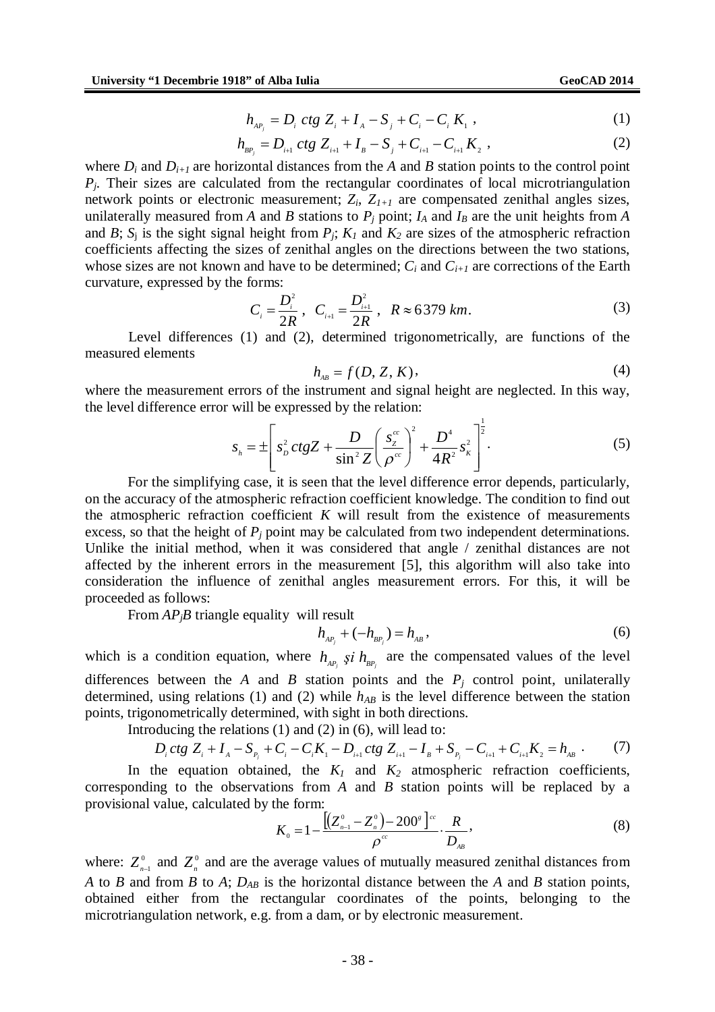$$
h_{_{AP_i}} = D_i \, ctg \, Z_i + I_A - S_j + C_i - C_i \, K_1 \,, \tag{1}
$$

$$
h_{_{BP_j}} = D_{_{i+1}} ctg Z_{_{i+1}} + I_{_B} - S_{_{j}} + C_{_{i+1}} - C_{_{i+1}} K_{_2} , \qquad (2)
$$

where  $D_i$  and  $D_{i+1}$  are horizontal distances from the A and B station points to the control point *Pj*. Their sizes are calculated from the rectangular coordinates of local microtriangulation network points or electronic measurement; *Zi*, *Z1+1* are compensated zenithal angles sizes, unilaterally measured from *A* and *B* stations to  $P_j$  point;  $I_A$  and  $I_B$  are the unit heights from *A* and *B*;  $S_i$  is the sight signal height from  $P_i$ ;  $K_i$  and  $K_2$  are sizes of the atmospheric refraction coefficients affecting the sizes of zenithal angles on the directions between the two stations, whose sizes are not known and have to be determined;  $C_i$  and  $C_{i+1}$  are corrections of the Earth curvature, expressed by the forms:

$$
C_i = \frac{D_i^2}{2R}, \quad C_{i+1} = \frac{D_{i+1}^2}{2R}, \quad R \approx 6379 \text{ km.}
$$
 (3)

Level differences (1) and (2), determined trigonometrically, are functions of the measured elements

$$
h_{AB} = f(D, Z, K), \tag{4}
$$

where the measurement errors of the instrument and signal height are neglected. In this way, the level difference error will be expressed by the relation:

$$
s_{h} = \pm \left[ s_{b}^{2} \, ctgZ + \frac{D}{\sin^{2} Z} \left( \frac{s_{z}^{cc}}{\rho^{cc}} \right)^{2} + \frac{D^{4}}{4R^{2}} s_{R}^{2} \right]^{\frac{1}{2}}.
$$
 (5)

For the simplifying case, it is seen that the level difference error depends, particularly, on the accuracy of the atmospheric refraction coefficient knowledge. The condition to find out the atmospheric refraction coefficient  $K$  will result from the existence of measurements excess, so that the height of  $P_j$  point may be calculated from two independent determinations. Unlike the initial method, when it was considered that angle / zenithal distances are not affected by the inherent errors in the measurement [5], this algorithm will also take into consideration the influence of zenithal angles measurement errors. For this, it will be proceeded as follows:

From *APjB* triangle equality will result

$$
h_{_{AP_j}} + (-h_{_{BP_j}}) = h_{_{AB}},
$$
\n(6)

which is a condition equation, where  $h_{AP_j}$  *si*  $h_{BP_j}$  are the compensated values of the level differences between the *A* and *B* station points and the  $P_j$  control point, unilaterally determined, using relations (1) and (2) while  $h_{AB}$  is the level difference between the station points, trigonometrically determined, with sight in both directions.

Introducing the relations (1) and (2) in (6), will lead to:

$$
D_i ctg Z_i + I_A - S_{P_i} + C_i - C_i K_1 - D_{i+1} ctg Z_{i+1} - I_B + S_{P_i} - C_{i+1} + C_{i+1} K_2 = h_{AB} \tag{7}
$$

In the equation obtained, the  $K_I$  and  $K_2$  atmospheric refraction coefficients, corresponding to the observations from *A* and *B* station points will be replaced by a provisional value, calculated by the form:

$$
K_0 = 1 - \frac{\left[ (Z_{n-1}^0 - Z_n^0) - 200^s \right]^{cc}}{\rho^{cc}} \cdot \frac{R}{D_{AB}},
$$
\n(8)

where:  $Z_{n-1}^0$  and  $Z_n^0$  and are the average values of mutually measured zenithal distances from *A* to *B* and from *B* to *A*; *DAB* is the horizontal distance between the *A* and *B* station points, obtained either from the rectangular coordinates of the points, belonging to the microtriangulation network, e.g. from a dam, or by electronic measurement.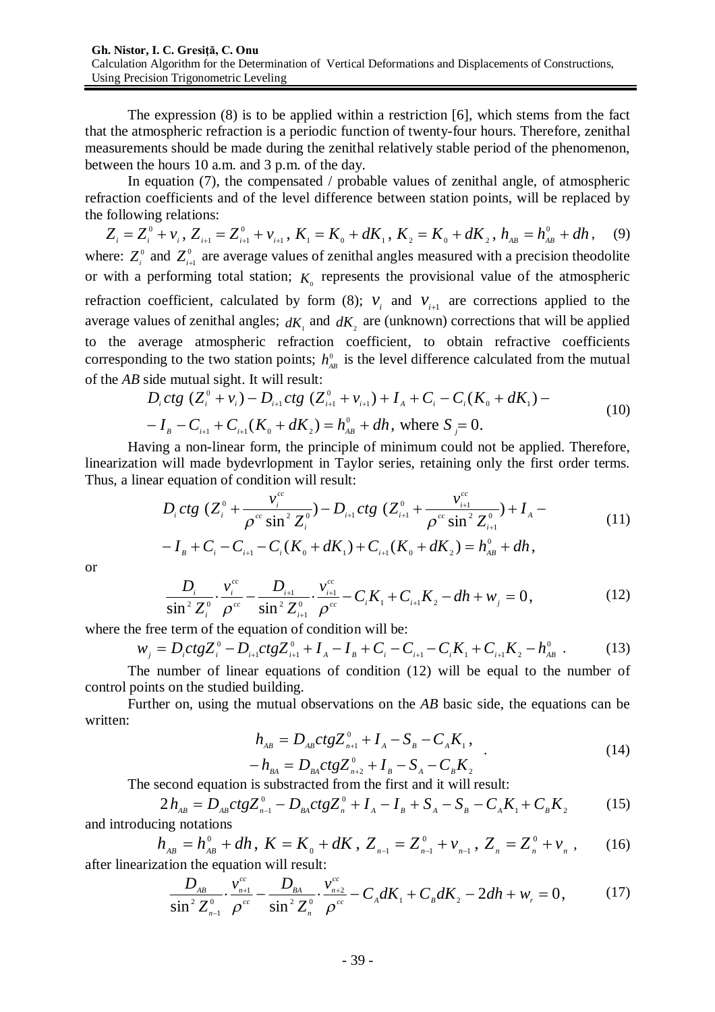The expression (8) is to be applied within a restriction [6], which stems from the fact that the atmospheric refraction is a periodic function of twenty-four hours. Therefore, zenithal measurements should be made during the zenithal relatively stable period of the phenomenon, between the hours 10 a.m. and 3 p.m. of the day.

In equation (7), the compensated / probable values of zenithal angle, of atmospheric refraction coefficients and of the level difference between station points, will be replaced by the following relations:

 $Z_i = Z_i^0 + v_i$ ,  $Z_{i+1} = Z_{i+1}^0 + v_{i+1}$ ,  $K_i = K_0 + dK_1$ ,  $K_2 = K_0 + dK_2$ ,  $h_{AB} = h_{AB}^0 + dh$  $1, 1, 1, 0, 0, \ldots, 1, 1, 1, 1, 0, 0, \ldots, 2$  $\mathbf{0}$ 1  $-i+1$  $S_{i}^{0} + \nu_{i}$ ,  $Z_{i+1} = Z_{i+1}^{0} + \nu_{i+1}$ ,  $K_{i} = K_{0} + dK_{i}$ ,  $K_{2} = K_{0} + dK_{2}$ ,  $h_{AB} = h_{AB}^{0} + dh$ , (9) where:  $Z_i^0$  and  $Z_{i+1}^0$  are average values of zenithal angles measured with a precision theodolite or with a performing total station;  $K_0$  represents the provisional value of the atmospheric refraction coefficient, calculated by form (8);  $V_i$  and  $V_{i+1}$  are corrections applied to the average values of zenithal angles;  $dK_i$  and  $dK_2$  are (unknown) corrections that will be applied to the average atmospheric refraction coefficient, to obtain refractive coefficients corresponding to the two station points;  $h_{AB}^0$  is the level difference calculated from the mutual of the *AB* side mutual sight. It will result:

$$
D_i ctg (Z_i^0 + v_i) - D_{i+1} ctg (Z_{i+1}^0 + v_{i+1}) + I_A + C_i - C_i(K_0 + dK_1) -
$$
  
-  $I_B - C_{i+1} + C_{i+1}(K_0 + dK_2) = h_{AB}^0 + dh$ , where  $S_j = 0$ . (10)

Having a non-linear form, the principle of minimum could not be applied. Therefore, linearization will made bydevrlopment in Taylor series, retaining only the first order terms. Thus, a linear equation of condition will result:

$$
D_i ctg \left(Z_i^0 + \frac{v_i^{cc}}{\rho^{cc} \sin^2 Z_i^0}\right) - D_{i+1} ctg \left(Z_{i+1}^0 + \frac{v_{i+1}^{cc}}{\rho^{cc} \sin^2 Z_{i+1}^0}\right) + I_A -
$$
  
-  $I_B + C_i - C_{i+1} - C_i(K_0 + dK_1) + C_{i+1}(K_0 + dK_2) = h_{AB}^0 + dh,$  (11)

or

$$
\frac{D_i}{\sin^2 Z_i^0} \cdot \frac{v_i^{cc}}{\rho^{cc}} - \frac{D_{i+1}}{\sin^2 Z_{i+1}^0} \cdot \frac{v_{i+1}^{cc}}{\rho^{cc}} - C_i K_1 + C_{i+1} K_2 - dh + w_j = 0,
$$
\n(12)

where the free term of the equation of condition will be:

$$
w_j = D_i ctg Z_i^0 - D_{i+1} ctg Z_{i+1}^0 + I_A - I_B + C_i - C_{i+1} - C_i K_1 + C_{i+1} K_2 - h_{AB}^0
$$
 (13)

The number of linear equations of condition (12) will be equal to the number of control points on the studied building.

Further on, using the mutual observations on the *AB* basic side, the equations can be written:

$$
h_{AB} = D_{AB}ctgZ_{n+1}^{0} + I_{A} - S_{B} - C_{A}K_{1},
$$
\n
$$
h_{A} = D_{A}ctgZ_{0}^{0} + I_{A} - S_{B} - C_{A}K_{1}.
$$
\n(14)

$$
-h_{BA} = D_{BA}ctgZ_{n+2}^{0} + I_{B} - S_{A} - C_{B}K_{2}
$$
  
The second equation is subtracted from the first and it will result:

 $1 \times B$ <sup>1</sup> 2  $^0$  D  $_{\alpha\star\alpha}Z^0$  $2h_{AB} = D_{AB}ctgZ_{n-1}^{0} - D_{BA}ctgZ_{n}^{0} + I_{A} - I_{B} + S_{A} - S_{B} - C_{A}K_{1} + C_{B}K_{2}$  (15)

and introducing notations

$$
h_{AB} = h_{AB}^0 + dh, \ K = K_0 + dK, \ Z_{n-1} = Z_{n-1}^0 + v_{n-1}, \ Z_n = Z_n^0 + v_n, \tag{16}
$$
  
zation the equation will result:

after linearization the equation will result:

$$
\frac{D_{AB}}{\sin^2 Z_{n-1}^0} \cdot \frac{v_{n+1}^{cc}}{\rho^{cc}} - \frac{D_{BA}}{\sin^2 Z_n^0} \cdot \frac{v_{n+2}^{cc}}{\rho^{cc}} - C_A dK_1 + C_B dK_2 - 2dh + w_r = 0, \qquad (17)
$$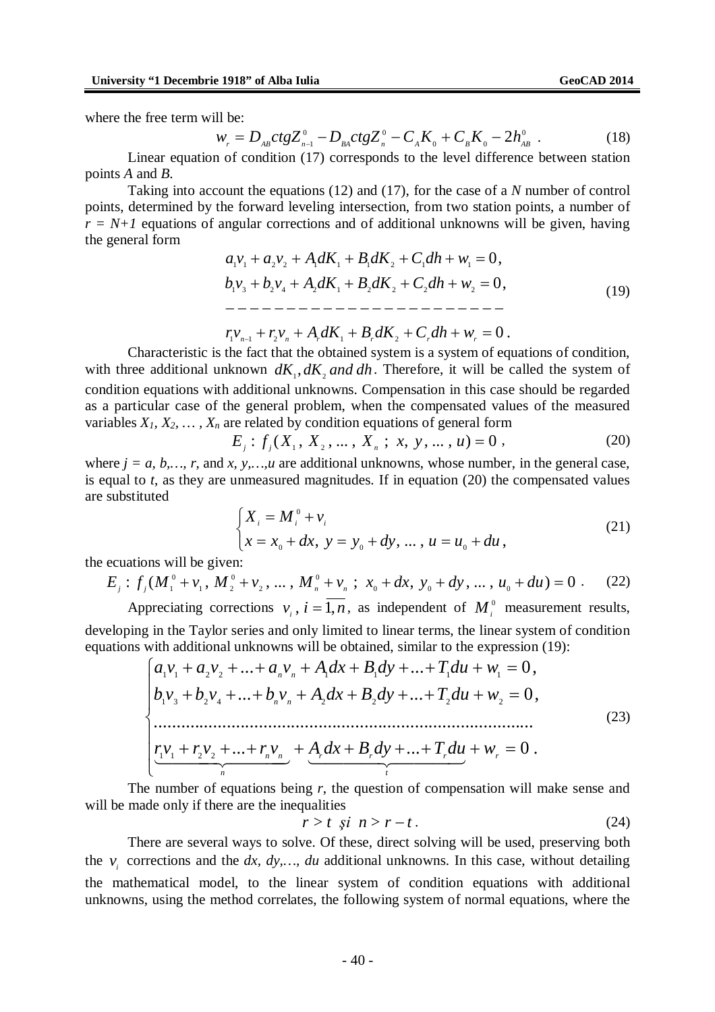where the free term will be:

$$
w_r = D_{AB}ctg Z_{n-1}^0 - D_{BA}ctg Z_n^0 - C_A K_0 + C_B K_0 - 2h_{AB}^0
$$
 (18)

Linear equation of condition (17) corresponds to the level difference between station points *A* and *B*.

Taking into account the equations (12) and (17), for the case of a *N* number of control points, determined by the forward leveling intersection, from two station points, a number of  $r = N+1$  equations of angular corrections and of additional unknowns will be given, having the general form

0, 0, 1 3 2 4 2 1 2 2 2 2 1 1 2 2 1 1 1 2 1 1 *b v b v A dK B dK C dh w a v a v AdK B dK C dh w* (19)

 $r_1v_{n-1} + r_2v_n + A_r dK_1 + B_r dK_2 + C_r dh + w_r = 0$ .

Characteristic is the fact that the obtained system is a system of equations of condition, with three additional unknown  $dK_1, dK_2$  and  $dh$ . Therefore, it will be called the system of condition equations with additional unknowns. Compensation in this case should be regarded as a particular case of the general problem, when the compensated values of the measured variables  $X_1, X_2, \ldots, X_n$  are related by condition equations of general form

$$
E_j: f_j(X_1, X_2, \dots, X_n; x, y, \dots, u) = 0,
$$
\n(20)

where  $j = a, b, ..., r$ , and *x*, *y*, *m*, *u* are additional unknowns, whose number, in the general case, is equal to *t*, as they are unmeasured magnitudes. If in equation (20) the compensated values are substituted

$$
\begin{cases} X_i = M_i^0 + v_i \\ x = x_0 + dx, \ y = y_0 + dy, \dots, u = u_0 + du, \end{cases}
$$
 (21)

the ecuations will be given:

$$
E_j: f_j(M_1^0 + v_1, M_2^0 + v_2, \dots, M_n^0 + v_n; x_0 + dx, y_0 + dy, \dots, u_0 + du) = 0.
$$
 (22)

Appreciating corrections  $v_i$ ,  $i = 1, n$ , as independent of  $M_i^0$  measurement results, developing in the Taylor series and only limited to linear terms, the linear system of condition equations with additional unknowns will be obtained, similar to the expression (19):

$$
\begin{cases}\na_1v_1 + a_2v_2 + \dots + a_nv_n + A_1dx + B_1dy + \dots + T_1du + w_1 = 0, \\
b_1v_3 + b_2v_4 + \dots + b_nv_n + A_2dx + B_2dy + \dots + T_2du + w_2 = 0, \\
\vdots \\
\underbrace{r_1v_1 + r_2v_2 + \dots + r_nv_n}_{n} + \underbrace{A_rdx + B_rdy + \dots + T_rdu}_{n} + w_r = 0.\n\end{cases} (23)
$$

The number of equations being *r*, the question of compensation will make sense and will be made only if there are the inequalities

$$
r > t \quad \text{si} \quad n > r - t \tag{24}
$$

There are several ways to solve. Of these, direct solving will be used, preserving both the  $v_i$  corrections and the *dx, dy,..., du* additional unknowns. In this case, without detailing the mathematical model, to the linear system of condition equations with additional unknowns, using the method correlates, the following system of normal equations, where the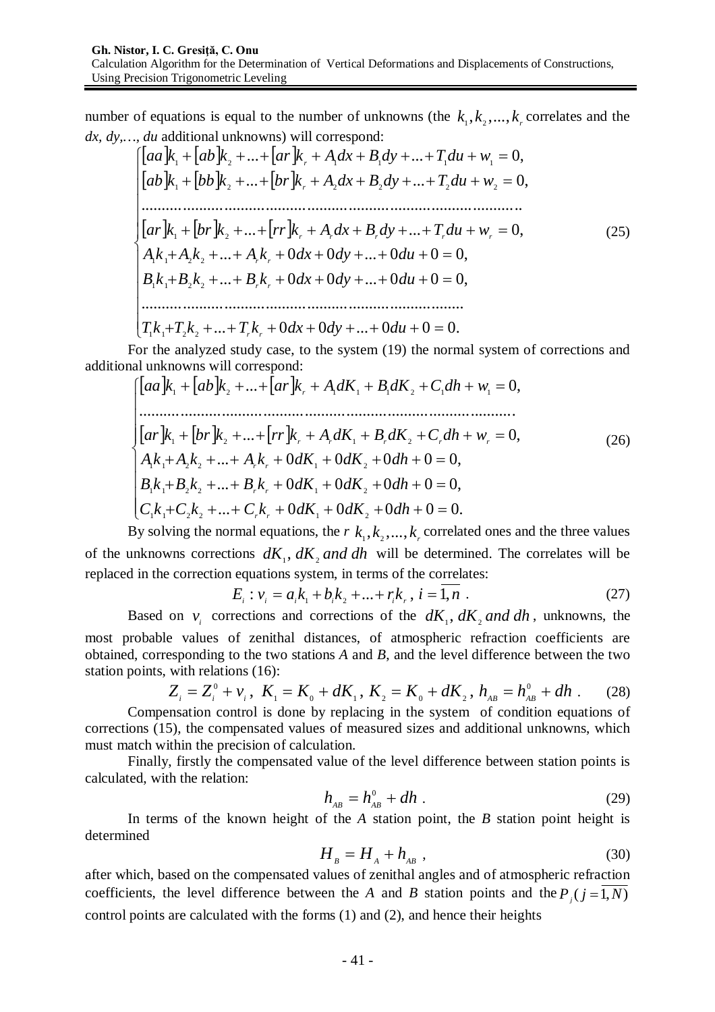number of equations is equal to the number of unknowns (the  $k_1, k_2, ..., k_r$  correlates and the *dx, dy,…, du* additional unknowns) will correspond:

$$
\begin{cases}\n[aa]k_1 + [ab]k_2 + ... + [ar]k_r + A_1dx + B_1dy + ... + T_1du + w_1 = 0, \\
[ab]k_1 + [bb]k_2 + ... + [br]k_r + A_2dx + B_2dy + ... + T_2du + w_2 = 0, \\
&\dots \\
[ar]k_1 + [br]k_2 + ... + [rr]k_r + A_rdx + B_rdy + ... + T_rdu + w_r = 0, \\
A_1k_1 + A_2k_2 + ... + A_rk_r + 0dx + 0dy + ... + 0du + 0 = 0, \\
B_1k_1 + B_2k_2 + ... + B_rk_r + 0dx + 0dy + ... + 0du + 0 = 0, \\
&\dots \\
T_1k_1 + T_2k_2 + ... + T_rk_r + 0dx + 0dy + ... + 0du + 0 = 0.\n\end{cases} (25)
$$

For the analyzed study case, to the system (19) the normal system of corrections and additional unknowns will correspond:

$$
\begin{cases}\n[aa]k_1 + [ab]k_2 + ... + [ar]k_r + A_1 dK_1 + B_1 dK_2 + C_1 dh + w_1 = 0, \\
\vdots \\
[ar]k_1 + [br]k_2 + ... + [rr]k_r + A_r dK_1 + B_r dK_2 + C_r dh + w_r = 0, \\
A_1 k_1 + A_2 k_2 + ... + A_r k_r + 0 dK_1 + 0 dK_2 + 0 dh + 0 = 0, \\
B_1 k_1 + B_2 k_2 + ... + B_r k_r + 0 dK_1 + 0 dK_2 + 0 dh + 0 = 0, \\
C_1 k_1 + C_2 k_2 + ... + C_r k_r + 0 dK_1 + 0 dK_2 + 0 dh + 0 = 0.\n\end{cases} (26)
$$

By solving the normal equations, the  $r$   $k_1, k_2, ..., k_r$  correlated ones and the three values of the unknowns corrections  $dK_1$ ,  $dK_2$  *and dh* will be determined. The correlates will be replaced in the correction equations system, in terms of the correlates:

$$
E_i: v_i = a_i k_1 + b_i k_2 + \dots + r_i k_r, \ i = \overline{1, n} \ . \tag{27}
$$

Based on  $v_i$  corrections and corrections of the  $dK_1$ ,  $dK_2$  *and*  $dh$ , unknowns, the most probable values of zenithal distances, of atmospheric refraction coefficients are obtained, corresponding to the two stations *A* and *B*, and the level difference between the two station points, with relations (16):

$$
Z_i = Z_i^0 + v_i, \ K_1 = K_0 + dK_1, \ K_2 = K_0 + dK_2, \ h_{AB} = h_{AB}^0 + dh \ . \tag{28}
$$

Compensation control is done by replacing in the system of condition equations of corrections (15), the compensated values of measured sizes and additional unknowns, which must match within the precision of calculation.

Finally, firstly the compensated value of the level difference between station points is calculated, with the relation:

$$
h_{AB} = h_{AB}^0 + dh \tag{29}
$$

In terms of the known height of the *A* station point, the *B* station point height is determined

$$
H_{B} = H_{A} + h_{AB} \tag{30}
$$

after which, based on the compensated values of zenithal angles and of atmospheric refraction coefficients, the level difference between the *A* and *B* station points and the  $P_j$  ( $j = 1, N$ ) control points are calculated with the forms (1) and (2), and hence their heights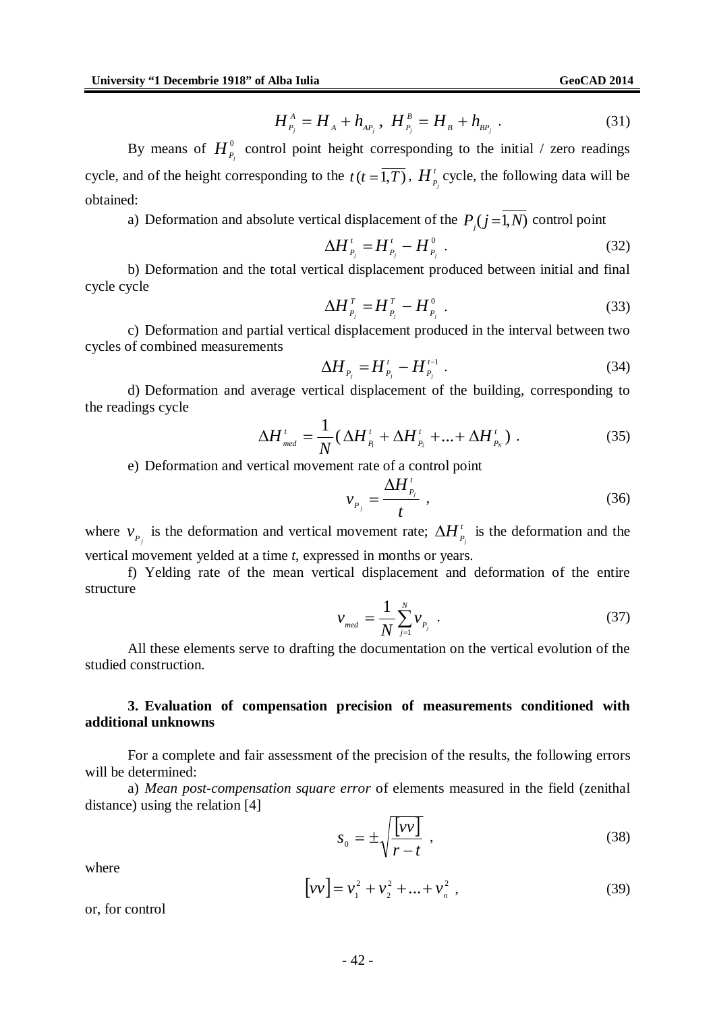$$
H_{P_j}^A = H_A + h_{AP_j}, \ H_{P_j}^B = H_B + h_{BP_j} \ . \tag{31}
$$

By means of  $H^{\scriptscriptstyle{0}}_{\scriptscriptstyle{P}}$  $H_{P_j}^0$  control point height corresponding to the initial / zero readings cycle, and of the height corresponding to the  $t(t = \overline{1,T})$ ,  $H^T$  $H_{P_j}^i$  cycle, the following data will be obtained:

a) Deformation and absolute vertical displacement of the  $P_i(j=1,N)$  control point

$$
\Delta H_{P_j}^{\prime} = H_{P_j}^{\prime} - H_{P_j}^0 \tag{32}
$$

b) Deformation and the total vertical displacement produced between initial and final cycle cycle

$$
\Delta H_{P_j}^T = H_{P_j}^T - H_{P_j}^0 \tag{33}
$$

c) Deformation and partial vertical displacement produced in the interval between two cycles of combined measurements

$$
\Delta H_{P_j} = H'_{P_j} - H'_{P_j}.
$$
\n(34)

d) Deformation and average vertical displacement of the building, corresponding to the readings cycle

$$
\Delta H'_{\text{med}} = \frac{1}{N} (\Delta H'_{P_1} + \Delta H'_{P_2} + ... + \Delta H'_{P_N}). \tag{35}
$$

e) Deformation and vertical movement rate of a control point

$$
v_{P_j} = \frac{\Delta H'_{P_j}}{t} \tag{36}
$$

where  $v_{P_j}$  is the deformation and vertical movement rate;  $\Delta H_i^t$  $\Delta H_{P_j}^i$  is the deformation and the vertical movement yelded at a time *t*, expressed in months or years.

f) Yelding rate of the mean vertical displacement and deformation of the entire structure

$$
v_{\text{med}} = \frac{1}{N} \sum_{j=1}^{N} v_{p_j} \tag{37}
$$

All these elements serve to drafting the documentation on the vertical evolution of the studied construction.

### **3. Evaluation of compensation precision of measurements conditioned with additional unknowns**

For a complete and fair assessment of the precision of the results, the following errors will be determined:

a) *Mean post-compensation square error* of elements measured in the field (zenithal distance) using the relation [4]

$$
s_0 = \pm \sqrt{\frac{[\nu \nu]}{r - t}} \tag{38}
$$

where

$$
[vv] = v_1^2 + v_2^2 + \dots + v_n^2,
$$
 (39)

or, for control